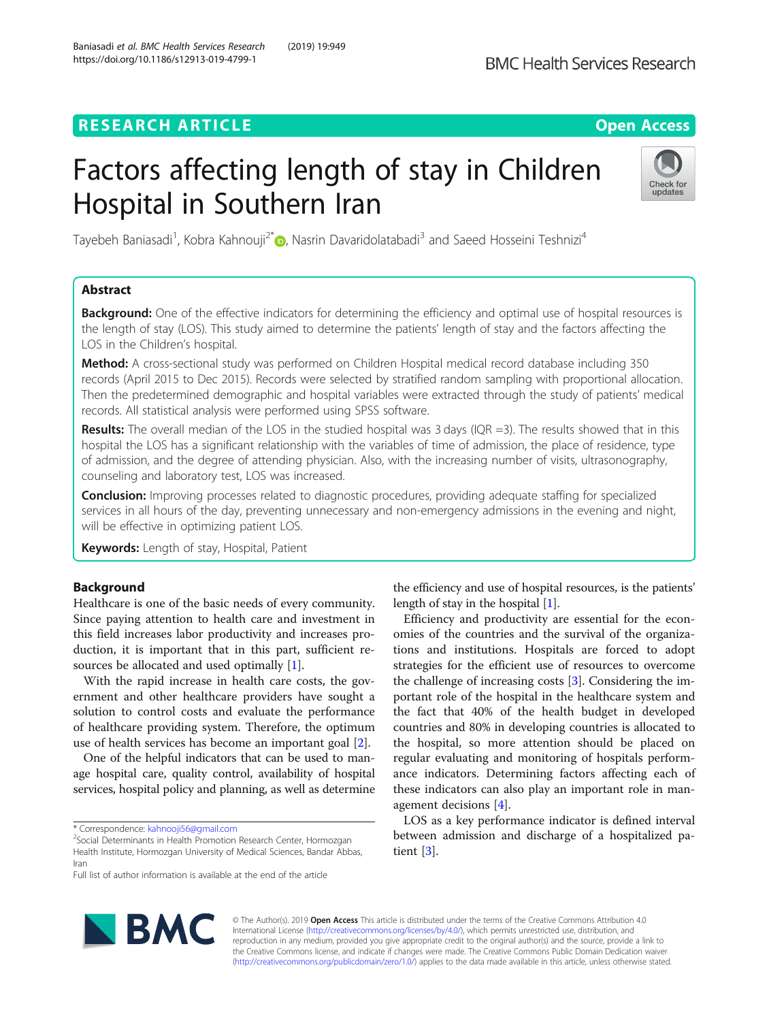# **RESEARCH ARTICLE Example 2014 CONSIDERING A RESEARCH ARTICLE**

# Factors affecting length of stay in Children Hospital in Southern Iran



Tayebeh Baniasadi<sup>1</sup>, Kobra Kahnouji<sup>2\*</sup> (@, Nasrin Davaridolatabadi<sup>3</sup> and Saeed Hosseini Teshnizi<sup>4</sup>

# Abstract

Background: One of the effective indicators for determining the efficiency and optimal use of hospital resources is the length of stay (LOS). This study aimed to determine the patients' length of stay and the factors affecting the LOS in the Children's hospital.

**Method:** A cross-sectional study was performed on Children Hospital medical record database including 350 records (April 2015 to Dec 2015). Records were selected by stratified random sampling with proportional allocation. Then the predetermined demographic and hospital variables were extracted through the study of patients' medical records. All statistical analysis were performed using SPSS software.

Results: The overall median of the LOS in the studied hospital was 3 days ( $IQR = 3$ ). The results showed that in this hospital the LOS has a significant relationship with the variables of time of admission, the place of residence, type of admission, and the degree of attending physician. Also, with the increasing number of visits, ultrasonography, counseling and laboratory test, LOS was increased.

**Conclusion:** Improving processes related to diagnostic procedures, providing adequate staffing for specialized services in all hours of the day, preventing unnecessary and non-emergency admissions in the evening and night, will be effective in optimizing patient LOS.

Keywords: Length of stay, Hospital, Patient

# Background

Healthcare is one of the basic needs of every community. Since paying attention to health care and investment in this field increases labor productivity and increases production, it is important that in this part, sufficient resources be allocated and used optimally [[1](#page-4-0)].

With the rapid increase in health care costs, the government and other healthcare providers have sought a solution to control costs and evaluate the performance of healthcare providing system. Therefore, the optimum use of health services has become an important goal [\[2\]](#page-4-0).

One of the helpful indicators that can be used to manage hospital care, quality control, availability of hospital services, hospital policy and planning, as well as determine

\* Correspondence: [kahnooji56@gmail.com](mailto:kahnooji56@gmail.com) <sup>2</sup>

Full list of author information is available at the end of the article



the efficiency and use of hospital resources, is the patients' length of stay in the hospital [[1](#page-4-0)].

Efficiency and productivity are essential for the economies of the countries and the survival of the organizations and institutions. Hospitals are forced to adopt strategies for the efficient use of resources to overcome the challenge of increasing costs [[3\]](#page-4-0). Considering the important role of the hospital in the healthcare system and the fact that 40% of the health budget in developed countries and 80% in developing countries is allocated to the hospital, so more attention should be placed on regular evaluating and monitoring of hospitals performance indicators. Determining factors affecting each of these indicators can also play an important role in management decisions [[4\]](#page-4-0).

LOS as a key performance indicator is defined interval between admission and discharge of a hospitalized patient [[3](#page-4-0)].

© The Author(s). 2019 **Open Access** This article is distributed under the terms of the Creative Commons Attribution 4.0 International License [\(http://creativecommons.org/licenses/by/4.0/](http://creativecommons.org/licenses/by/4.0/)), which permits unrestricted use, distribution, and reproduction in any medium, provided you give appropriate credit to the original author(s) and the source, provide a link to the Creative Commons license, and indicate if changes were made. The Creative Commons Public Domain Dedication waiver [\(http://creativecommons.org/publicdomain/zero/1.0/](http://creativecommons.org/publicdomain/zero/1.0/)) applies to the data made available in this article, unless otherwise stated.

<sup>&</sup>lt;sup>2</sup>Social Determinants in Health Promotion Research Center, Hormozgan Health Institute, Hormozgan University of Medical Sciences, Bandar Abbas, Iran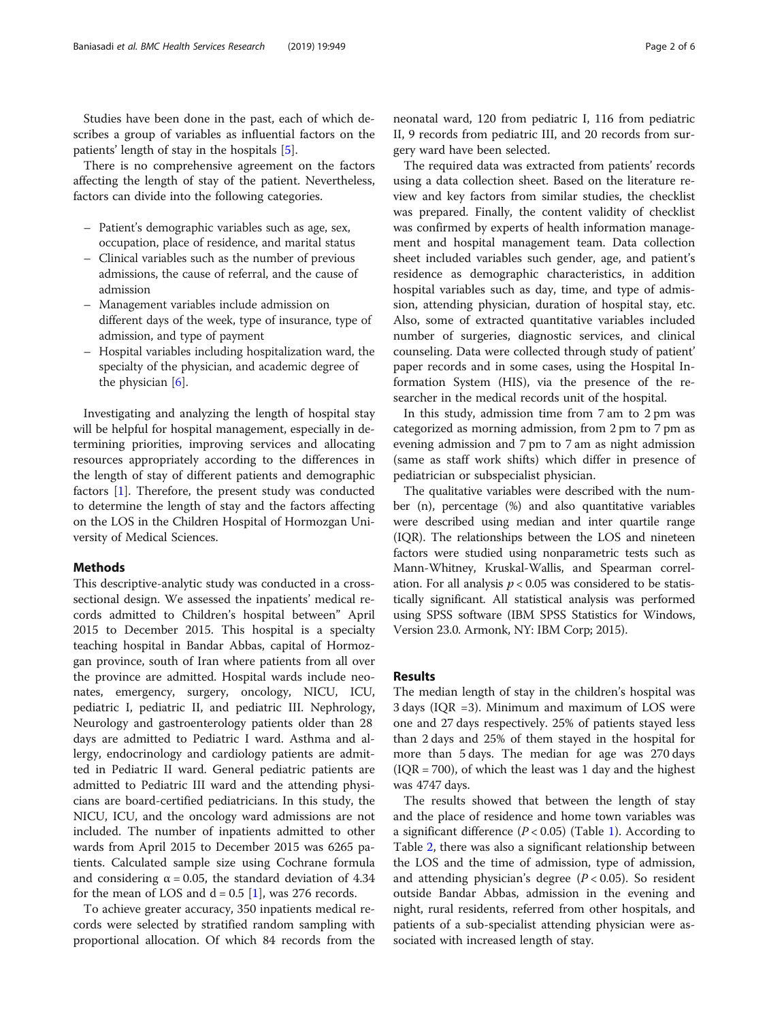Studies have been done in the past, each of which describes a group of variables as influential factors on the patients' length of stay in the hospitals [[5](#page-4-0)].

There is no comprehensive agreement on the factors affecting the length of stay of the patient. Nevertheless, factors can divide into the following categories.

- Patient's demographic variables such as age, sex, occupation, place of residence, and marital status
- Clinical variables such as the number of previous admissions, the cause of referral, and the cause of admission
- Management variables include admission on different days of the week, type of insurance, type of admission, and type of payment
- Hospital variables including hospitalization ward, the specialty of the physician, and academic degree of the physician  $[6]$  $[6]$ .

Investigating and analyzing the length of hospital stay will be helpful for hospital management, especially in determining priorities, improving services and allocating resources appropriately according to the differences in the length of stay of different patients and demographic factors [\[1](#page-4-0)]. Therefore, the present study was conducted to determine the length of stay and the factors affecting on the LOS in the Children Hospital of Hormozgan University of Medical Sciences.

#### Methods

This descriptive-analytic study was conducted in a crosssectional design. We assessed the inpatients' medical records admitted to Children's hospital between" April 2015 to December 2015. This hospital is a specialty teaching hospital in Bandar Abbas, capital of Hormozgan province, south of Iran where patients from all over the province are admitted. Hospital wards include neonates, emergency, surgery, oncology, NICU, ICU, pediatric I, pediatric II, and pediatric III. Nephrology, Neurology and gastroenterology patients older than 28 days are admitted to Pediatric I ward. Asthma and allergy, endocrinology and cardiology patients are admitted in Pediatric II ward. General pediatric patients are admitted to Pediatric III ward and the attending physicians are board-certified pediatricians. In this study, the NICU, ICU, and the oncology ward admissions are not included. The number of inpatients admitted to other wards from April 2015 to December 2015 was 6265 patients. Calculated sample size using Cochrane formula and considering  $\alpha = 0.05$ , the standard deviation of 4.34 for the mean of LOS and  $d = 0.5$  [\[1](#page-4-0)], was 276 records.

To achieve greater accuracy, 350 inpatients medical records were selected by stratified random sampling with proportional allocation. Of which 84 records from the

neonatal ward, 120 from pediatric I, 116 from pediatric II, 9 records from pediatric III, and 20 records from surgery ward have been selected.

The required data was extracted from patients' records using a data collection sheet. Based on the literature review and key factors from similar studies, the checklist was prepared. Finally, the content validity of checklist was confirmed by experts of health information management and hospital management team. Data collection sheet included variables such gender, age, and patient's residence as demographic characteristics, in addition hospital variables such as day, time, and type of admission, attending physician, duration of hospital stay, etc. Also, some of extracted quantitative variables included number of surgeries, diagnostic services, and clinical counseling. Data were collected through study of patient' paper records and in some cases, using the Hospital Information System (HIS), via the presence of the researcher in the medical records unit of the hospital.

In this study, admission time from 7 am to 2 pm was categorized as morning admission, from 2 pm to 7 pm as evening admission and 7 pm to 7 am as night admission (same as staff work shifts) which differ in presence of pediatrician or subspecialist physician.

The qualitative variables were described with the number (n), percentage (%) and also quantitative variables were described using median and inter quartile range (IQR). The relationships between the LOS and nineteen factors were studied using nonparametric tests such as Mann-Whitney, Kruskal-Wallis, and Spearman correlation. For all analysis  $p < 0.05$  was considered to be statistically significant. All statistical analysis was performed using SPSS software (IBM SPSS Statistics for Windows, Version 23.0. Armonk, NY: IBM Corp; 2015).

#### Results

The median length of stay in the children's hospital was 3 days (IQR =3). Minimum and maximum of LOS were one and 27 days respectively. 25% of patients stayed less than 2 days and 25% of them stayed in the hospital for more than 5 days. The median for age was 270 days  $(IQR = 700)$ , of which the least was 1 day and the highest was 4747 days.

The results showed that between the length of stay and the place of residence and home town variables was a significant difference  $(P < 0.05)$  (Table [1](#page-2-0)). According to Table [2,](#page-3-0) there was also a significant relationship between the LOS and the time of admission, type of admission, and attending physician's degree  $(P < 0.05)$ . So resident outside Bandar Abbas, admission in the evening and night, rural residents, referred from other hospitals, and patients of a sub-specialist attending physician were associated with increased length of stay.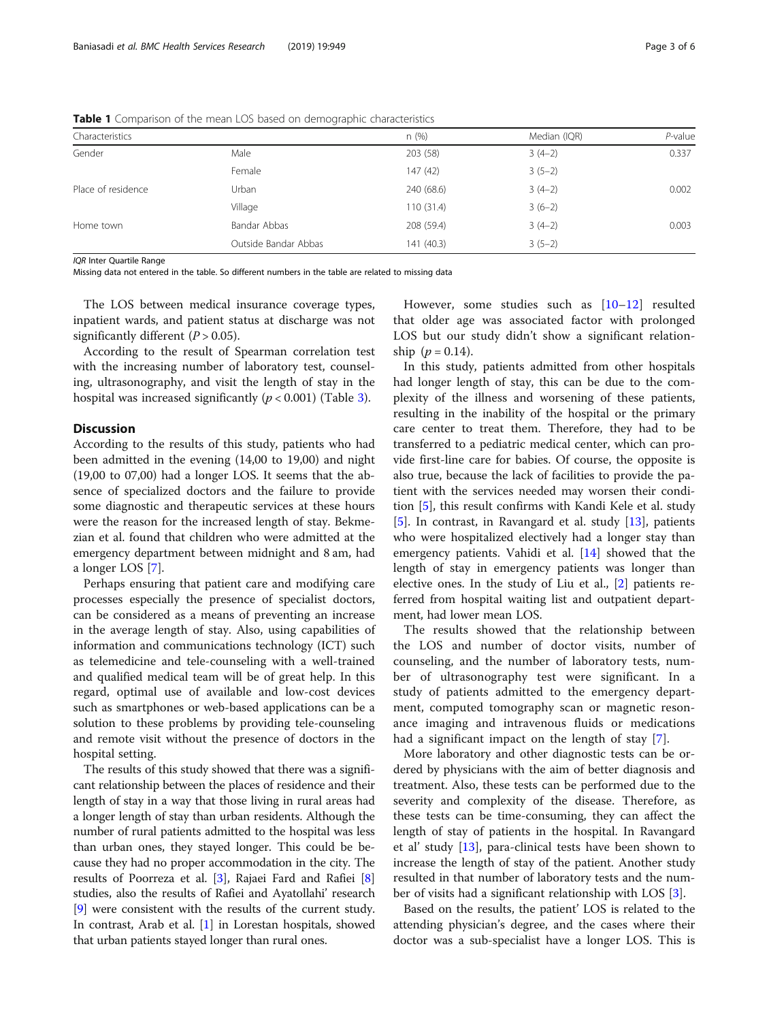<span id="page-2-0"></span>

|  | <b>Table 1</b> Comparison of the mean LOS based on demographic characteristics |  |  |
|--|--------------------------------------------------------------------------------|--|--|
|  |                                                                                |  |  |

| Characteristics    |                      | n(%)       | Median (IQR) | $P$ -value |
|--------------------|----------------------|------------|--------------|------------|
| Gender             | Male                 | 203 (58)   | $3(4-2)$     | 0.337      |
|                    | Female               | 147 (42)   | $3(5-2)$     |            |
| Place of residence | Urban                | 240 (68.6) | $3(4-2)$     | 0.002      |
|                    | Village              | 110 (31.4) | $3(6-2)$     |            |
| Home town          | Bandar Abbas         | 208 (59.4) | $3(4-2)$     | 0.003      |
|                    | Outside Bandar Abbas | 141 (40.3) | $3(5-2)$     |            |

IQR Inter Quartile Range

Missing data not entered in the table. So different numbers in the table are related to missing data

The LOS between medical insurance coverage types, inpatient wards, and patient status at discharge was not significantly different  $(P > 0.05)$ .

According to the result of Spearman correlation test with the increasing number of laboratory test, counseling, ultrasonography, and visit the length of stay in the hospital was increased significantly  $(p < 0.001)$  (Table [3](#page-4-0)).

## **Discussion**

According to the results of this study, patients who had been admitted in the evening (14,00 to 19,00) and night (19,00 to 07,00) had a longer LOS. It seems that the absence of specialized doctors and the failure to provide some diagnostic and therapeutic services at these hours were the reason for the increased length of stay. Bekmezian et al. found that children who were admitted at the emergency department between midnight and 8 am, had a longer LOS [\[7](#page-5-0)].

Perhaps ensuring that patient care and modifying care processes especially the presence of specialist doctors, can be considered as a means of preventing an increase in the average length of stay. Also, using capabilities of information and communications technology (ICT) such as telemedicine and tele-counseling with a well-trained and qualified medical team will be of great help. In this regard, optimal use of available and low-cost devices such as smartphones or web-based applications can be a solution to these problems by providing tele-counseling and remote visit without the presence of doctors in the hospital setting.

The results of this study showed that there was a significant relationship between the places of residence and their length of stay in a way that those living in rural areas had a longer length of stay than urban residents. Although the number of rural patients admitted to the hospital was less than urban ones, they stayed longer. This could be because they had no proper accommodation in the city. The results of Poorreza et al. [\[3\]](#page-4-0), Rajaei Fard and Rafiei [[8](#page-5-0)] studies, also the results of Rafiei and Ayatollahi' research [[9\]](#page-5-0) were consistent with the results of the current study. In contrast, Arab et al. [[1](#page-4-0)] in Lorestan hospitals, showed that urban patients stayed longer than rural ones.

However, some studies such as [[10](#page-5-0)–[12](#page-5-0)] resulted that older age was associated factor with prolonged LOS but our study didn't show a significant relationship  $(p = 0.14)$ .

In this study, patients admitted from other hospitals had longer length of stay, this can be due to the complexity of the illness and worsening of these patients, resulting in the inability of the hospital or the primary care center to treat them. Therefore, they had to be transferred to a pediatric medical center, which can provide first-line care for babies. Of course, the opposite is also true, because the lack of facilities to provide the patient with the services needed may worsen their condition [\[5](#page-4-0)], this result confirms with Kandi Kele et al. study [[5\]](#page-4-0). In contrast, in Ravangard et al. study [\[13](#page-5-0)], patients who were hospitalized electively had a longer stay than emergency patients. Vahidi et al. [\[14](#page-5-0)] showed that the length of stay in emergency patients was longer than elective ones. In the study of Liu et al., [[2\]](#page-4-0) patients referred from hospital waiting list and outpatient department, had lower mean LOS.

The results showed that the relationship between the LOS and number of doctor visits, number of counseling, and the number of laboratory tests, number of ultrasonography test were significant. In a study of patients admitted to the emergency department, computed tomography scan or magnetic resonance imaging and intravenous fluids or medications had a significant impact on the length of stay [\[7](#page-5-0)].

More laboratory and other diagnostic tests can be ordered by physicians with the aim of better diagnosis and treatment. Also, these tests can be performed due to the severity and complexity of the disease. Therefore, as these tests can be time-consuming, they can affect the length of stay of patients in the hospital. In Ravangard et al' study [\[13](#page-5-0)], para-clinical tests have been shown to increase the length of stay of the patient. Another study resulted in that number of laboratory tests and the number of visits had a significant relationship with LOS [\[3](#page-4-0)].

Based on the results, the patient' LOS is related to the attending physician's degree, and the cases where their doctor was a sub-specialist have a longer LOS. This is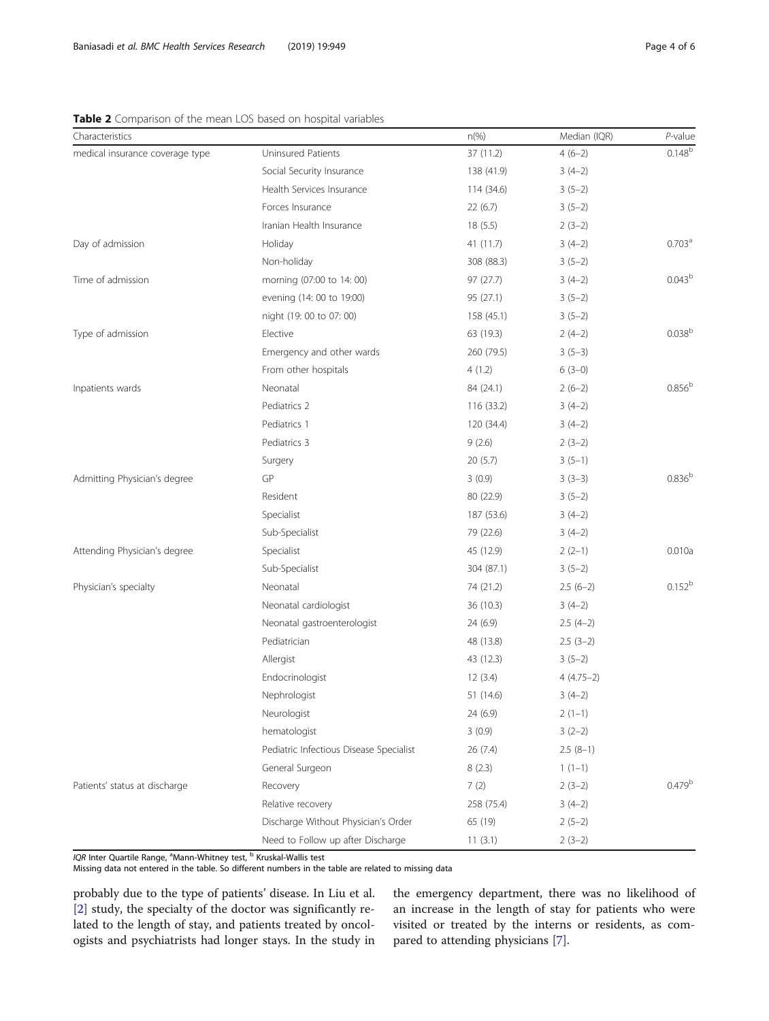<span id="page-3-0"></span>

| Characteristics                 |                                         | $n$ (%)    | Median (IQR) | P-value            |
|---------------------------------|-----------------------------------------|------------|--------------|--------------------|
| medical insurance coverage type | Uninsured Patients                      | 37 (11.2)  | $4(6-2)$     | $0.148^{b}$        |
|                                 | Social Security Insurance               | 138 (41.9) | $3(4-2)$     |                    |
|                                 | Health Services Insurance               | 114 (34.6) | $3(5-2)$     |                    |
|                                 | Forces Insurance                        | 22(6.7)    | $3(5-2)$     |                    |
|                                 | Iranian Health Insurance                | 18(5.5)    | $2(3-2)$     |                    |
| Day of admission                | Holiday                                 | 41 (11.7)  | $3(4-2)$     | 0.703 <sup>a</sup> |
|                                 | Non-holiday                             | 308 (88.3) | $3(5-2)$     |                    |
| Time of admission               | morning (07:00 to 14: 00)               | 97(27.7)   | $3(4-2)$     | $0.043^b$          |
|                                 | evening (14: 00 to 19:00)               | 95 (27.1)  | $3(5-2)$     |                    |
|                                 | night (19: 00 to 07: 00)                | 158 (45.1) | $3(5-2)$     |                    |
| Type of admission               | Elective                                | 63 (19.3)  | $2(4-2)$     | 0.038 <sup>b</sup> |
|                                 | Emergency and other wards               | 260 (79.5) | $3(5-3)$     |                    |
|                                 | From other hospitals                    | 4(1.2)     | $6(3-0)$     |                    |
| Inpatients wards                | Neonatal                                | 84 (24.1)  | $2(6-2)$     | 0.856 <sup>b</sup> |
|                                 | Pediatrics 2                            | 116 (33.2) | $3(4-2)$     |                    |
|                                 | Pediatrics 1                            | 120 (34.4) | $3(4-2)$     |                    |
|                                 | Pediatrics 3                            | 9(2.6)     | $2(3-2)$     |                    |
|                                 | Surgery                                 | 20(5.7)    | $3(5-1)$     |                    |
| Admitting Physician's degree    | GP                                      | 3(0.9)     | $3(3-3)$     | $0.836^{\rm b}$    |
|                                 | Resident                                | 80 (22.9)  | $3(5-2)$     |                    |
|                                 | Specialist                              | 187 (53.6) | $3(4-2)$     |                    |
|                                 | Sub-Specialist                          | 79 (22.6)  | $3(4-2)$     |                    |
| Attending Physician's degree    | Specialist                              | 45 (12.9)  | $2(2-1)$     | 0.010a             |
|                                 | Sub-Specialist                          | 304 (87.1) | $3(5-2)$     |                    |
| Physician's specialty           | Neonatal                                | 74 (21.2)  | $2.5(6-2)$   | $0.152^{b}$        |
|                                 | Neonatal cardiologist                   | 36(10.3)   | $3(4-2)$     |                    |
|                                 | Neonatal gastroenterologist             | 24 (6.9)   | $2.5(4-2)$   |                    |
|                                 | Pediatrician                            | 48 (13.8)  | $2.5(3-2)$   |                    |
|                                 | Allergist                               | 43 (12.3)  | $3(5-2)$     |                    |
|                                 | Endocrinologist                         | 12(3.4)    | $4(4.75-2)$  |                    |
|                                 | Nephrologist                            | 51 (14.6)  | $3(4-2)$     |                    |
|                                 | Neurologist                             | 24 (6.9)   | $2(1-1)$     |                    |
|                                 | hematologist                            | 3(0.9)     | $3(2-2)$     |                    |
|                                 | Pediatric Infectious Disease Specialist | 26 (7.4)   | $2.5(8-1)$   |                    |
|                                 | General Surgeon                         | 8(2.3)     | $1(1-1)$     |                    |
| Patients' status at discharge   | Recovery                                | 7(2)       | $2(3-2)$     | $0.479^b$          |
|                                 | Relative recovery                       | 258 (75.4) | $3(4-2)$     |                    |
|                                 | Discharge Without Physician's Order     | 65 (19)    | $2(5-2)$     |                    |
|                                 | Need to Follow up after Discharge       | 11(3.1)    | $2(3-2)$     |                    |

IQR Inter Quartile Range, <sup>a</sup>Mann-Whitney test, <sup>b</sup> Kruskal-Wallis test

Missing data not entered in the table. So different numbers in the table are related to missing data

probably due to the type of patients' disease. In Liu et al. [[2\]](#page-4-0) study, the specialty of the doctor was significantly related to the length of stay, and patients treated by oncologists and psychiatrists had longer stays. In the study in

the emergency department, there was no likelihood of an increase in the length of stay for patients who were visited or treated by the interns or residents, as compared to attending physicians [\[7](#page-5-0)].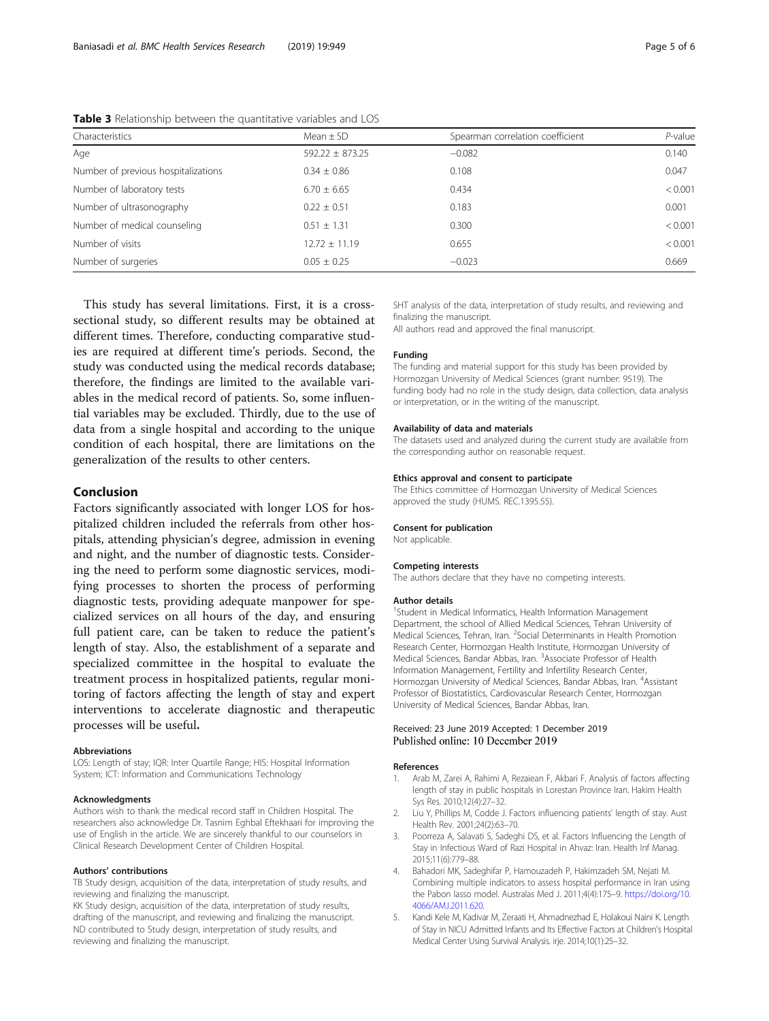| Characteristics                     | Mean $\pm$ SD       | Spearman correlation coefficient | $P$ -value |
|-------------------------------------|---------------------|----------------------------------|------------|
| Age                                 | $592.22 \pm 873.25$ | $-0.082$                         | 0.140      |
| Number of previous hospitalizations | $0.34 \pm 0.86$     | 0.108                            | 0.047      |
| Number of laboratory tests          | $6.70 \pm 6.65$     | 0.434                            | < 0.001    |
| Number of ultrasonography           | $0.22 \pm 0.51$     | 0.183                            | 0.001      |
| Number of medical counseling        | $0.51 \pm 1.31$     | 0.300                            | < 0.001    |
| Number of visits                    | $12.72 \pm 11.19$   | 0.655                            | < 0.001    |
| Number of surgeries                 | $0.05 \pm 0.25$     | $-0.023$                         | 0.669      |
|                                     |                     |                                  |            |

<span id="page-4-0"></span>**Table 3** Relationship between the quantitative variables and LOS

This study has several limitations. First, it is a crosssectional study, so different results may be obtained at different times. Therefore, conducting comparative studies are required at different time's periods. Second, the study was conducted using the medical records database; therefore, the findings are limited to the available variables in the medical record of patients. So, some influential variables may be excluded. Thirdly, due to the use of data from a single hospital and according to the unique condition of each hospital, there are limitations on the generalization of the results to other centers.

### Conclusion

Factors significantly associated with longer LOS for hospitalized children included the referrals from other hospitals, attending physician's degree, admission in evening and night, and the number of diagnostic tests. Considering the need to perform some diagnostic services, modifying processes to shorten the process of performing diagnostic tests, providing adequate manpower for specialized services on all hours of the day, and ensuring full patient care, can be taken to reduce the patient's length of stay. Also, the establishment of a separate and specialized committee in the hospital to evaluate the treatment process in hospitalized patients, regular monitoring of factors affecting the length of stay and expert interventions to accelerate diagnostic and therapeutic processes will be useful.

#### Abbreviations

LOS: Length of stay; IQR: Inter Quartile Range; HIS: Hospital Information System; ICT: Information and Communications Technology

#### Acknowledgments

Authors wish to thank the medical record staff in Children Hospital. The researchers also acknowledge Dr. Tasnim Eghbal Eftekhaari for improving the use of English in the article. We are sincerely thankful to our counselors in Clinical Research Development Center of Children Hospital.

#### Authors' contributions

TB Study design, acquisition of the data, interpretation of study results, and reviewing and finalizing the manuscript.

KK Study design, acquisition of the data, interpretation of study results, drafting of the manuscript, and reviewing and finalizing the manuscript. ND contributed to Study design, interpretation of study results, and reviewing and finalizing the manuscript.

SHT analysis of the data, interpretation of study results, and reviewing and finalizing the manuscript.

All authors read and approved the final manuscript.

#### Funding

The funding and material support for this study has been provided by Hormozgan University of Medical Sciences (grant number: 9519). The funding body had no role in the study design, data collection, data analysis or interpretation, or in the writing of the manuscript.

#### Availability of data and materials

The datasets used and analyzed during the current study are available from the corresponding author on reasonable request.

#### Ethics approval and consent to participate

The Ethics committee of Hormozgan University of Medical Sciences approved the study (HUMS. REC.1395.55).

#### Consent for publication

Not applicable.

#### Competing interests

The authors declare that they have no competing interests.

#### Author details

<sup>1</sup>Student in Medical Informatics, Health Information Management Department, the school of Allied Medical Sciences, Tehran University of Medical Sciences, Tehran, Iran. <sup>2</sup>Social Determinants in Health Promotion Research Center, Hormozgan Health Institute, Hormozgan University of Medical Sciences, Bandar Abbas, Iran. <sup>3</sup>Associate Professor of Health Information Management, Fertility and Infertility Research Center, Hormozgan University of Medical Sciences, Bandar Abbas, Iran. <sup>4</sup>Assistant Professor of Biostatistics, Cardiovascular Research Center, Hormozgan University of Medical Sciences, Bandar Abbas, Iran.

#### Received: 23 June 2019 Accepted: 1 December 2019 Published online: 10 December 2019

#### References

- 1. Arab M, Zarei A, Rahimi A, Rezaiean F, Akbari F. Analysis of factors affecting length of stay in public hospitals in Lorestan Province Iran. Hakim Health Sys Res. 2010;12(4):27–32.
- 2. Liu Y, Phillips M, Codde J. Factors influencing patients' length of stay. Aust Health Rev. 2001;24(2):63–70.
- Poorreza A, Salavati S, Sadeghi DS, et al. Factors Influencing the Length of Stay in Infectious Ward of Razi Hospital in Ahvaz: Iran. Health Inf Manag. 2015;11(6):779–88.
- 4. Bahadori MK, Sadeghifar P, Hamouzadeh P, Hakimzadeh SM, Nejati M. Combining multiple indicators to assess hospital performance in Iran using the Pabon lasso model. Australas Med J. 2011;4(4):175–9. [https://doi.org/10.](https://doi.org/10.4066/AMJ.2011.620) [4066/AMJ.2011.620](https://doi.org/10.4066/AMJ.2011.620).
- 5. Kandi Kele M, Kadivar M, Zeraati H, Ahmadnezhad E, Holakoui Naini K. Length of Stay in NICU Admitted Infants and Its Effective Factors at Children's Hospital Medical Center Using Survival Analysis. irje. 2014;10(1):25–32.